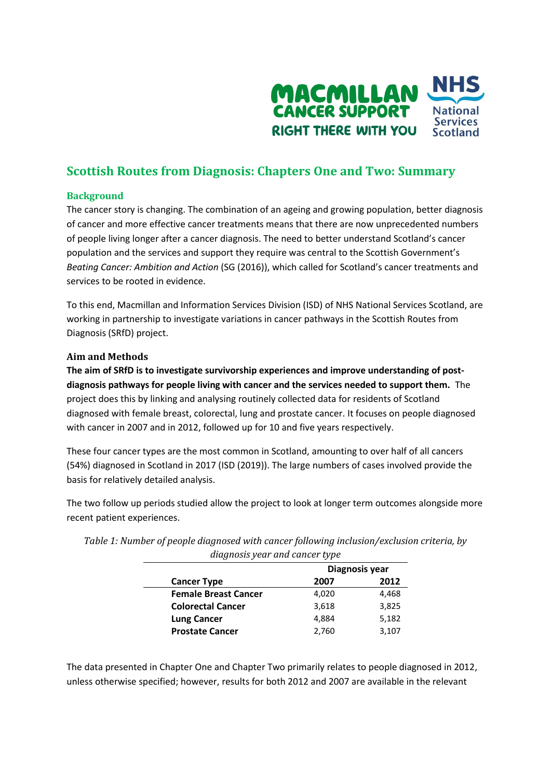

# **Scottish Routes from Diagnosis: Chapters One and Two: Summary**

## **Background**

The cancer story is changing. The combination of an ageing and growing population, better diagnosis of cancer and more effective cancer treatments means that there are now unprecedented numbers of people living longer after a cancer diagnosis. The need to better understand Scotland's cancer population and the services and support they require was central to the Scottish Government's *Beating Cancer: Ambition and Action* (SG (2016)), which called for Scotland's cancer treatments and services to be rooted in evidence.

To this end, Macmillan and Information Services Division (ISD) of NHS National Services Scotland, are working in partnership to investigate variations in cancer pathways in the Scottish Routes from Diagnosis (SRfD) project.

## **Aim and Methods**

**The aim of SRfD is to investigate survivorship experiences and improve understanding of postdiagnosis pathways for people living with cancer and the services needed to support them.** The project does this by linking and analysing routinely collected data for residents of Scotland diagnosed with female breast, colorectal, lung and prostate cancer. It focuses on people diagnosed with cancer in 2007 and in 2012, followed up for 10 and five years respectively.

These four cancer types are the most common in Scotland, amounting to over half of all cancers (54%) diagnosed in Scotland in 2017 (ISD (2019)). The large numbers of cases involved provide the basis for relatively detailed analysis.

The two follow up periods studied allow the project to look at longer term outcomes alongside more recent patient experiences.

| ungnosis yeur unu cuncer type |                |       |
|-------------------------------|----------------|-------|
| <b>Cancer Type</b>            | Diagnosis year |       |
|                               | 2007           | 2012  |
| <b>Female Breast Cancer</b>   | 4,020          | 4,468 |
| <b>Colorectal Cancer</b>      | 3,618          | 3,825 |
| <b>Lung Cancer</b>            | 4,884          | 5,182 |
| <b>Prostate Cancer</b>        | 2,760          | 3,107 |

*Table 1: Number of people diagnosed with cancer following inclusion/exclusion criteria, by diagnosis year and cancer type*

The data presented in Chapter One and Chapter Two primarily relates to people diagnosed in 2012, unless otherwise specified; however, results for both 2012 and 2007 are available in the relevant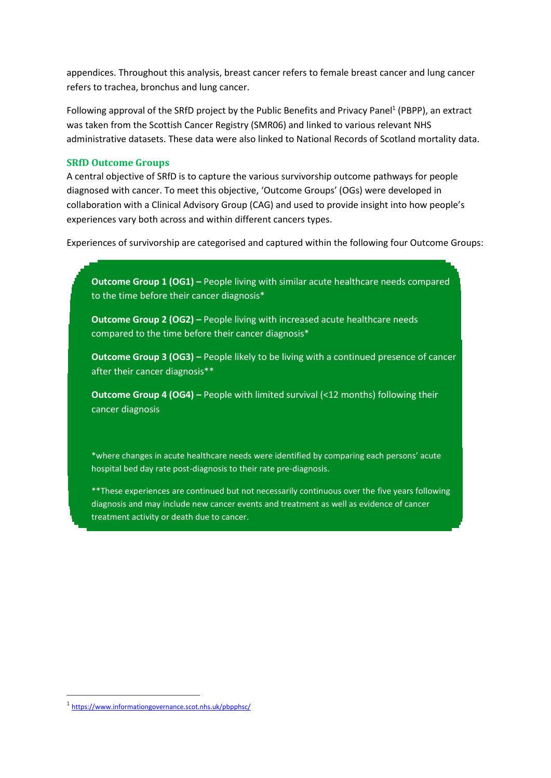appendices. Throughout this analysis, breast cancer refers to female breast cancer and lung cancer refers to trachea, bronchus and lung cancer.

Following approval of the SRfD project by the Public Benefits and Privacy Panel<sup>1</sup> (PBPP), an extract was taken from the Scottish Cancer Registry (SMR06) and linked to various relevant NHS administrative datasets. These data were also linked to National Records of Scotland mortality data.

#### **SRfD Outcome Groups**

A central objective of SRfD is to capture the various survivorship outcome pathways for people diagnosed with cancer. To meet this objective, 'Outcome Groups' (OGs) were developed in collaboration with a Clinical Advisory Group (CAG) and used to provide insight into how people's experiences vary both across and within different cancers types.

Experiences of survivorship are categorised and captured within the following four Outcome Groups:

**Outcome Group 1 (OG1) –** People living with similar acute healthcare needs compared to the time before their cancer diagnosis\*

**Outcome Group 2 (OG2) –** People living with increased acute healthcare needs compared to the time before their cancer diagnosis\*

**Outcome Group 3 (OG3) –** People likely to be living with a continued presence of cancer after their cancer diagnosis\*\*

**Outcome Group 4 (OG4) –** People with limited survival (<12 months) following their cancer diagnosis

\*where changes in acute healthcare needs were identified by comparing each persons' acute hospital bed day rate post-diagnosis to their rate pre-diagnosis.

\*\*These experiences are continued but not necessarily continuous over the five years following diagnosis and may include new cancer events and treatment as well as evidence of cancer treatment activity or death due to cancer.

<sup>1</sup> <https://www.informationgovernance.scot.nhs.uk/pbpphsc/>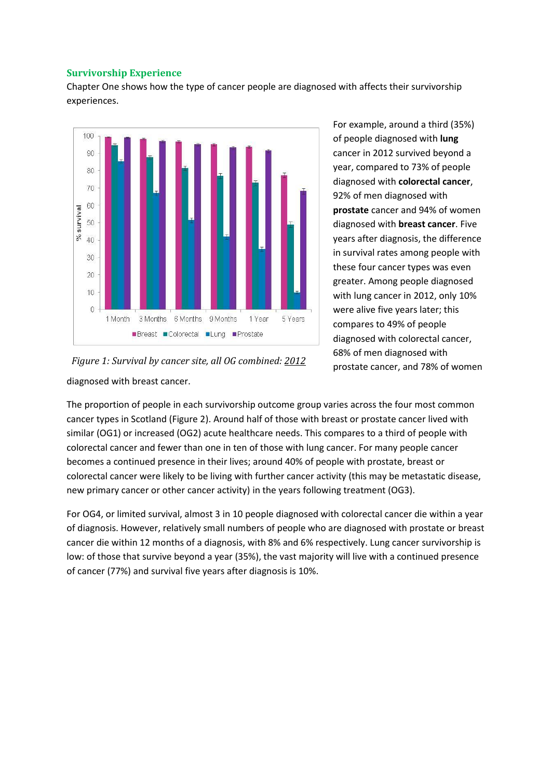### **Survivorship Experience**

Chapter One shows how the type of cancer people are diagnosed with affects their survivorship experiences.



For example, around a third (35%) of people diagnosed with **lung** cancer in 2012 survived beyond a year, compared to 73% of people diagnosed with **colorectal cancer**, 92% of men diagnosed with **prostate** cancer and 94% of women diagnosed with **breast cancer**. Five years after diagnosis, the difference in survival rates among people with these four cancer types was even greater. Among people diagnosed with lung cancer in 2012, only 10% were alive five years later; this compares to 49% of people diagnosed with colorectal cancer, 68% of men diagnosed with prostate cancer, and 78% of women

diagnosed with breast cancer. *Figure 1: Survival by cancer site, all OG combined: 2012*

The proportion of people in each survivorship outcome group varies across the four most common cancer types in Scotland (Figure 2). Around half of those with breast or prostate cancer lived with similar (OG1) or increased (OG2) acute healthcare needs. This compares to a third of people with colorectal cancer and fewer than one in ten of those with lung cancer. For many people cancer becomes a continued presence in their lives; around 40% of people with prostate, breast or colorectal cancer were likely to be living with further cancer activity (this may be metastatic disease, new primary cancer or other cancer activity) in the years following treatment (OG3).

For OG4, or limited survival, almost 3 in 10 people diagnosed with colorectal cancer die within a year of diagnosis. However, relatively small numbers of people who are diagnosed with prostate or breast cancer die within 12 months of a diagnosis, with 8% and 6% respectively. Lung cancer survivorship is low: of those that survive beyond a year (35%), the vast majority will live with a continued presence of cancer (77%) and survival five years after diagnosis is 10%.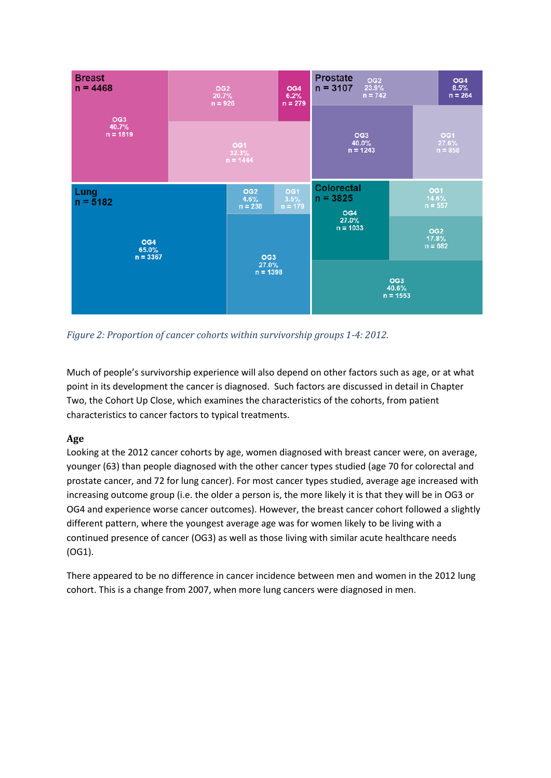

*Figure 2: Proportion of cancer cohorts within survivorship groups 1-4: 2012.*

Much of people's survivorship experience will also depend on other factors such as age, or at what point in its development the cancer is diagnosed. Such factors are discussed in detail in Chapter Two, the Cohort Up Close, which examines the characteristics of the cohorts, from patient characteristics to cancer factors to typical treatments.

# **Age**

Looking at the 2012 cancer cohorts by age, women diagnosed with breast cancer were, on average, younger (63) than people diagnosed with the other cancer types studied (age 70 for colorectal and prostate cancer, and 72 for lung cancer). For most cancer types studied, average age increased with increasing outcome group (i.e. the older a person is, the more likely it is that they will be in OG3 or OG4 and experience worse cancer outcomes). However, the breast cancer cohort followed a slightly different pattern, where the youngest average age was for women likely to be living with a continued presence of cancer (OG3) as well as those living with similar acute healthcare needs (OG1).

There appeared to be no difference in cancer incidence between men and women in the 2012 lung cohort. This is a change from 2007, when more lung cancers were diagnosed in men.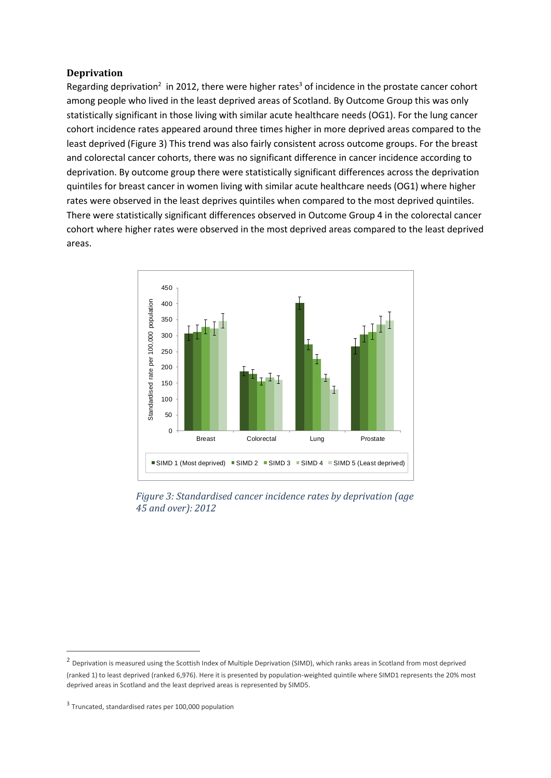#### **Deprivation**

Regarding deprivation<sup>2</sup> in 2012, there were higher rates<sup>3</sup> of incidence in the prostate cancer cohort among people who lived in the least deprived areas of Scotland. By Outcome Group this was only statistically significant in those living with similar acute healthcare needs (OG1). For the lung cancer cohort incidence rates appeared around three times higher in more deprived areas compared to the least deprived (Figure 3) This trend was also fairly consistent across outcome groups. For the breast and colorectal cancer cohorts, there was no significant difference in cancer incidence according to deprivation. By outcome group there were statistically significant differences across the deprivation quintiles for breast cancer in women living with similar acute healthcare needs (OG1) where higher rates were observed in the least deprives quintiles when compared to the most deprived quintiles. There were statistically significant differences observed in Outcome Group 4 in the colorectal cancer cohort where higher rates were observed in the most deprived areas compared to the least deprived areas.



*Figure 3: Standardised cancer incidence rates by deprivation (age 45 and over): 2012*

<sup>&</sup>lt;sup>2</sup> Deprivation is measured using the Scottish Index of Multiple Deprivation (SIMD), which ranks areas in Scotland from most deprived (ranked 1) to least deprived (ranked 6,976). Here it is presented by population-weighted quintile where SIMD1 represents the 20% most deprived areas in Scotland and the least deprived areas is represented by SIMD5.

<sup>&</sup>lt;sup>3</sup> Truncated, standardised rates per 100,000 population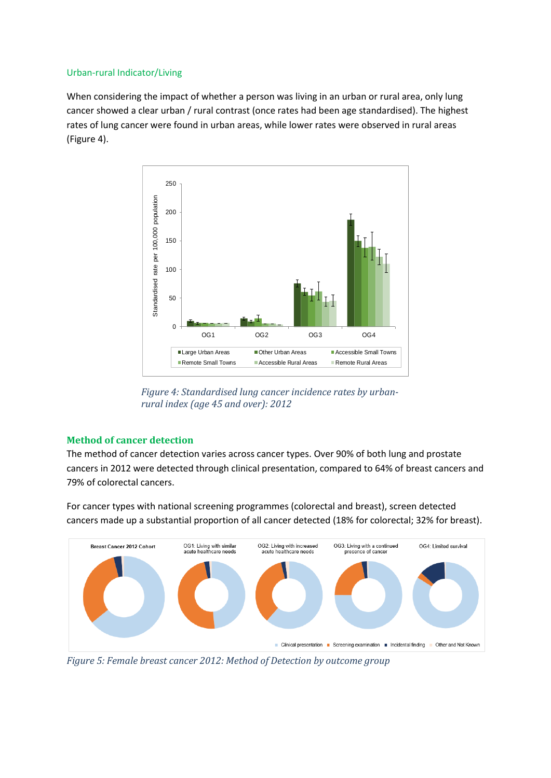#### Urban-rural Indicator/Living

When considering the impact of whether a person was living in an urban or rural area, only lung cancer showed a clear urban / rural contrast (once rates had been age standardised). The highest rates of lung cancer were found in urban areas, while lower rates were observed in rural areas (Figure 4).



*Figure 4: Standardised lung cancer incidence rates by urbanrural index (age 45 and over): 2012*

## **Method of cancer detection**

The method of cancer detection varies across cancer types. Over 90% of both lung and prostate cancers in 2012 were detected through clinical presentation, compared to 64% of breast cancers and 79% of colorectal cancers.

For cancer types with national screening programmes (colorectal and breast), screen detected cancers made up a substantial proportion of all cancer detected (18% for colorectal; 32% for breast).



*Figure 5: Female breast cancer 2012: Method of Detection by outcome group*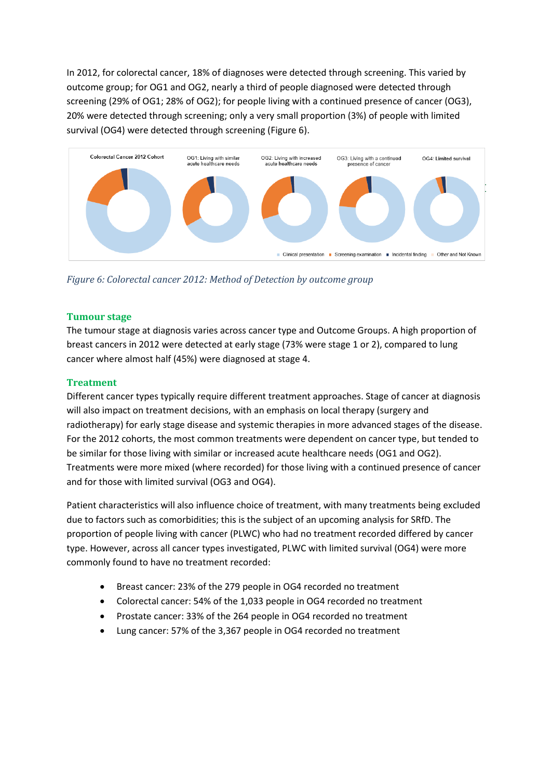In 2012, for colorectal cancer, 18% of diagnoses were detected through screening. This varied by outcome group; for OG1 and OG2, nearly a third of people diagnosed were detected through screening (29% of OG1; 28% of OG2); for people living with a continued presence of cancer (OG3), 20% were detected through screening; only a very small proportion (3%) of people with limited survival (OG4) were detected through screening (Figure 6).



*Figure 6: Colorectal cancer 2012: Method of Detection by outcome group*

## **Tumour stage**

The tumour stage at diagnosis varies across cancer type and Outcome Groups. A high proportion of breast cancers in 2012 were detected at early stage (73% were stage 1 or 2), compared to lung cancer where almost half (45%) were diagnosed at stage 4.

## **Treatment**

Different cancer types typically require different treatment approaches. Stage of cancer at diagnosis will also impact on treatment decisions, with an emphasis on local therapy (surgery and radiotherapy) for early stage disease and systemic therapies in more advanced stages of the disease. For the 2012 cohorts, the most common treatments were dependent on cancer type, but tended to be similar for those living with similar or increased acute healthcare needs (OG1 and OG2). Treatments were more mixed (where recorded) for those living with a continued presence of cancer and for those with limited survival (OG3 and OG4).

Patient characteristics will also influence choice of treatment, with many treatments being excluded due to factors such as comorbidities; this is the subject of an upcoming analysis for SRfD. The proportion of people living with cancer (PLWC) who had no treatment recorded differed by cancer type. However, across all cancer types investigated, PLWC with limited survival (OG4) were more commonly found to have no treatment recorded:

- Breast cancer: 23% of the 279 people in OG4 recorded no treatment
- Colorectal cancer: 54% of the 1,033 people in OG4 recorded no treatment
- Prostate cancer: 33% of the 264 people in OG4 recorded no treatment
- Lung cancer: 57% of the 3,367 people in OG4 recorded no treatment